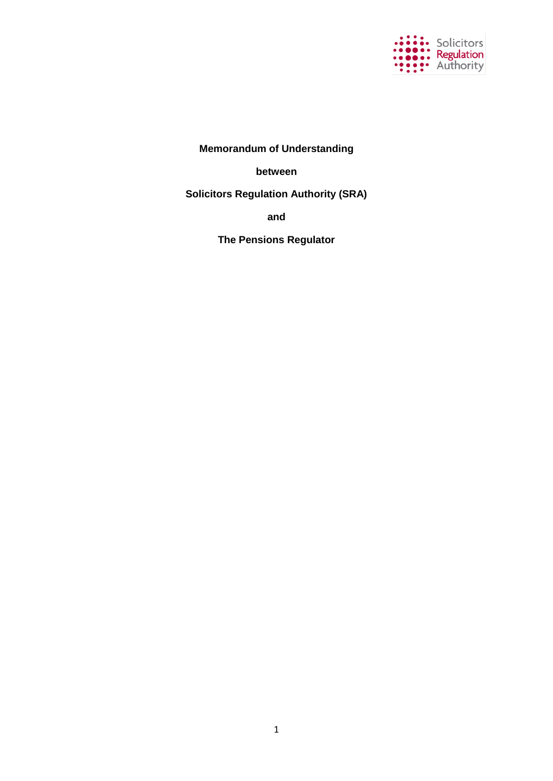

# **Memorandum of Understanding**

**between**

**Solicitors Regulation Authority (SRA)**

**and**

**The Pensions Regulator**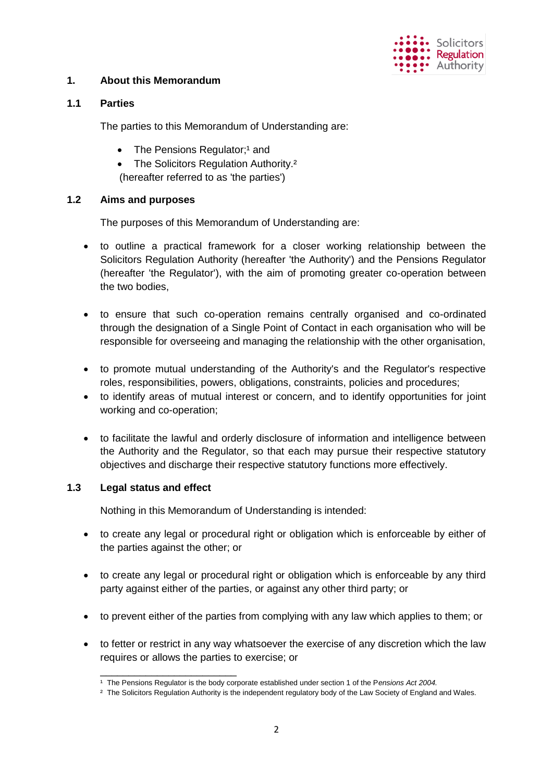

# **1. About this Memorandum**

### **1.1 Parties**

The parties to this Memorandum of Understanding are:

- $\bullet$  The Pensions Regulator;<sup>1</sup> and
- The Solicitors Regulation Authority.<sup>2</sup>

(hereafter referred to as 'the parties')

### **1.2 Aims and purposes**

The purposes of this Memorandum of Understanding are:

- to outline a practical framework for a closer working relationship between the Solicitors Regulation Authority (hereafter 'the Authority') and the Pensions Regulator (hereafter 'the Regulator'), with the aim of promoting greater co-operation between the two bodies,
- to ensure that such co-operation remains centrally organised and co-ordinated through the designation of a Single Point of Contact in each organisation who will be responsible for overseeing and managing the relationship with the other organisation,
- to promote mutual understanding of the Authority's and the Regulator's respective roles, responsibilities, powers, obligations, constraints, policies and procedures;
- to identify areas of mutual interest or concern, and to identify opportunities for joint working and co-operation;
- to facilitate the lawful and orderly disclosure of information and intelligence between the Authority and the Regulator, so that each may pursue their respective statutory objectives and discharge their respective statutory functions more effectively.

### **1.3 Legal status and effect**

\_\_\_\_\_\_\_\_\_\_\_\_\_\_\_\_\_\_\_\_\_\_\_\_

Nothing in this Memorandum of Understanding is intended:

- to create any legal or procedural right or obligation which is enforceable by either of the parties against the other; or
- to create any legal or procedural right or obligation which is enforceable by any third party against either of the parties, or against any other third party; or
- to prevent either of the parties from complying with any law which applies to them; or
- to fetter or restrict in any way whatsoever the exercise of any discretion which the law requires or allows the parties to exercise; or

<sup>&</sup>lt;sup>1</sup> The Pensions Regulator is the body corporate established under section 1 of the Pensions Act 2004.

<sup>&</sup>lt;sup>2</sup> The Solicitors Regulation Authority is the independent regulatory body of the Law Society of England and Wales.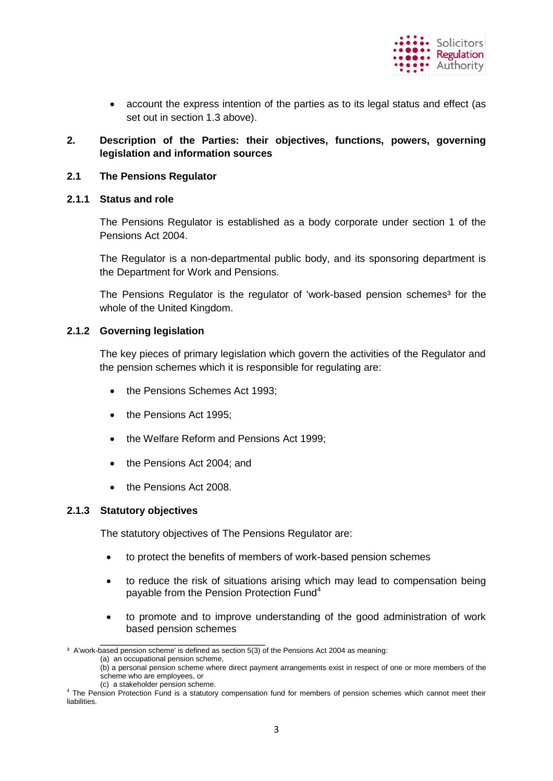

 account the express intention of the parties as to its legal status and effect (as set out in section 1.3 above).

### **2. Description of the Parties: their objectives, functions, powers, governing legislation and information sources**

### **2.1 The Pensions Regulator**

### **2.1.1 Status and role**

The Pensions Regulator is established as a body corporate under section 1 of the Pensions Act 2004.

The Regulator is a non-departmental public body, and its sponsoring department is the Department for Work and Pensions.

The Pensions Regulator is the regulator of 'work-based pension schemes<sup>3</sup> for the whole of the United Kingdom.

### **2.1.2 Governing legislation**

The key pieces of primary legislation which govern the activities of the Regulator and the pension schemes which it is responsible for regulating are:

- the Pensions Schemes Act 1993;
- the Pensions Act 1995;
- the Welfare Reform and Pensions Act 1999:
- the Pensions Act 2004; and
- the Pensions Act 2008.

#### **2.1.3 Statutory objectives**

The statutory objectives of The Pensions Regulator are:

- to protect the benefits of members of work-based pension schemes
- to reduce the risk of situations arising which may lead to compensation being payable from the Pension Protection Fund<sup>4</sup>
- to promote and to improve understanding of the good administration of work based pension schemes

\_\_\_\_\_\_\_\_\_\_\_\_\_\_\_\_\_\_\_\_\_\_\_\_\_\_\_\_\_ <sup>3</sup> A'work-based pension scheme' is defined as section 5(3) of the Pensions Act 2004 as meaning:

<sup>(</sup>a) an occupational pension scheme,

<sup>(</sup>b) a personal pension scheme where direct payment arrangements exist in respect of one or more members of the scheme who are employees, or

<sup>(</sup>c) a stakeholder pension scheme.

<sup>&</sup>lt;sup>4</sup> The Pension Protection Fund is a statutory compensation fund for members of pension schemes which cannot meet their liabilities.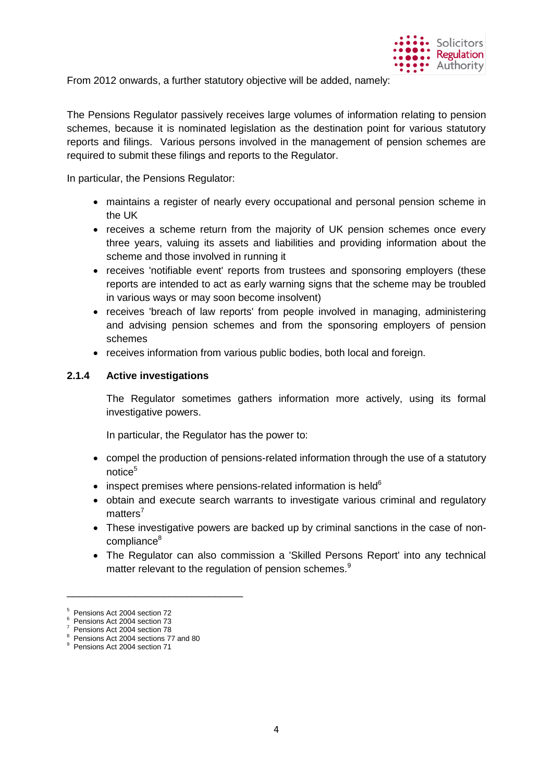

From 2012 onwards, a further statutory objective will be added, namely:

The Pensions Regulator passively receives large volumes of information relating to pension schemes, because it is nominated legislation as the destination point for various statutory reports and filings. Various persons involved in the management of pension schemes are required to submit these filings and reports to the Regulator.

In particular, the Pensions Regulator:

- maintains a register of nearly every occupational and personal pension scheme in the UK
- receives a scheme return from the majority of UK pension schemes once every three years, valuing its assets and liabilities and providing information about the scheme and those involved in running it
- receives 'notifiable event' reports from trustees and sponsoring employers (these reports are intended to act as early warning signs that the scheme may be troubled in various ways or may soon become insolvent)
- receives 'breach of law reports' from people involved in managing, administering and advising pension schemes and from the sponsoring employers of pension schemes
- receives information from various public bodies, both local and foreign.

#### **2.1.4 Active investigations**

The Regulator sometimes gathers information more actively, using its formal investigative powers.

In particular, the Regulator has the power to:

- compel the production of pensions-related information through the use of a statutory notice<sup>5</sup>
- inspect premises where pensions-related information is held $6$
- obtain and execute search warrants to investigate various criminal and regulatory matters<sup>7</sup>
- These investigative powers are backed up by criminal sanctions in the case of noncompliance<sup>8</sup>
- The Regulator can also commission a 'Skilled Persons Report' into any technical matter relevant to the regulation of pension schemes.<sup>9</sup>

\_\_\_\_\_\_\_\_\_\_\_\_\_\_\_\_\_\_\_\_\_\_\_\_\_\_\_\_\_\_\_

<sup>5</sup> Pensions Act 2004 section 72

<sup>6</sup> Pensions Act 2004 section 73 7

Pensions Act 2004 section 78

<sup>&</sup>lt;sup>8</sup> Pensions Act 2004 sections 77 and 80

<sup>&</sup>lt;sup>9</sup> Pensions Act 2004 section 71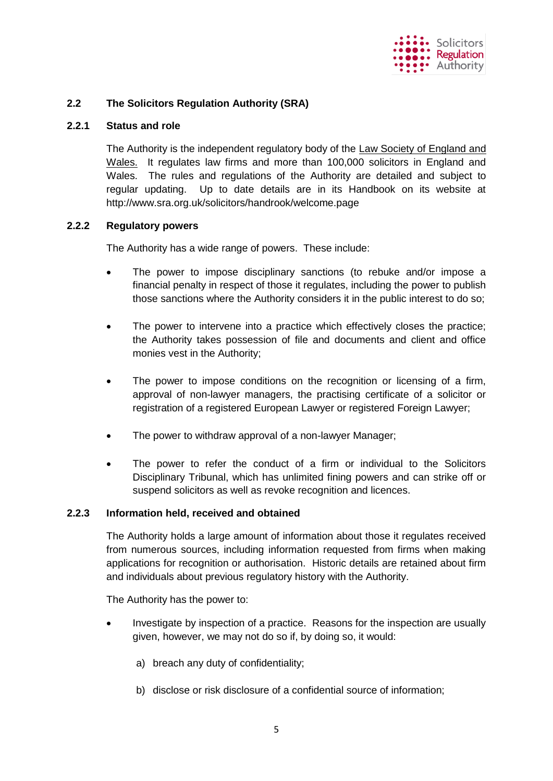

### **2.2 The Solicitors Regulation Authority (SRA)**

### **2.2.1 Status and role**

The Authority is the independent regulatory body of the Law Society of England and Wales. It regulates law firms and more than 100,000 solicitors in England and Wales. The rules and regulations of the Authority are detailed and subject to regular updating. Up to date details are in its Handbook on its website at http://www.sra.org.uk/solicitors/handrook/welcome.page

### **2.2.2 Regulatory powers**

The Authority has a wide range of powers. These include:

- The power to impose disciplinary sanctions (to rebuke and/or impose a financial penalty in respect of those it regulates, including the power to publish those sanctions where the Authority considers it in the public interest to do so;
- The power to intervene into a practice which effectively closes the practice; the Authority takes possession of file and documents and client and office monies vest in the Authority;
- The power to impose conditions on the recognition or licensing of a firm, approval of non-lawyer managers, the practising certificate of a solicitor or registration of a registered European Lawyer or registered Foreign Lawyer;
- The power to withdraw approval of a non-lawyer Manager;
- The power to refer the conduct of a firm or individual to the Solicitors Disciplinary Tribunal, which has unlimited fining powers and can strike off or suspend solicitors as well as revoke recognition and licences.

#### **2.2.3 Information held, received and obtained**

The Authority holds a large amount of information about those it regulates received from numerous sources, including information requested from firms when making applications for recognition or authorisation. Historic details are retained about firm and individuals about previous regulatory history with the Authority.

The Authority has the power to:

- Investigate by inspection of a practice. Reasons for the inspection are usually given, however, we may not do so if, by doing so, it would:
	- a) breach any duty of confidentiality;
	- b) disclose or risk disclosure of a confidential source of information;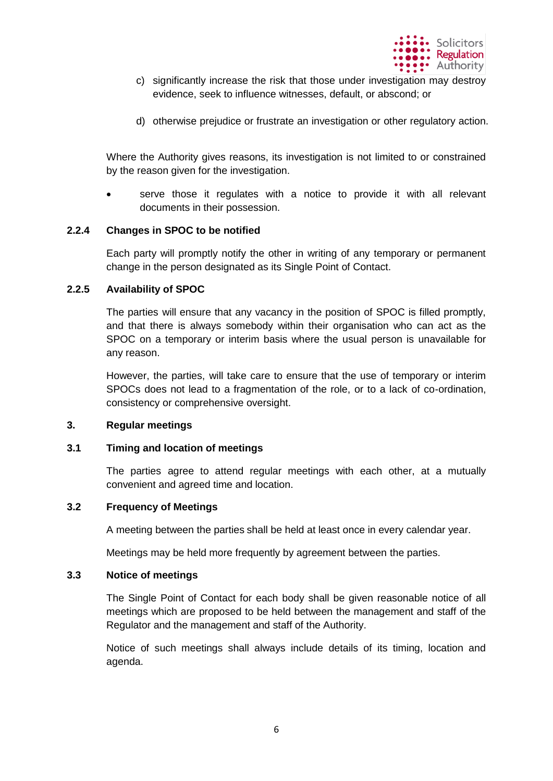

- c) significantly increase the risk that those under investigation may destroy evidence, seek to influence witnesses, default, or abscond; or
- d) otherwise prejudice or frustrate an investigation or other regulatory action.

Where the Authority gives reasons, its investigation is not limited to or constrained by the reason given for the investigation.

 serve those it regulates with a notice to provide it with all relevant documents in their possession.

### **2.2.4 Changes in SPOC to be notified**

Each party will promptly notify the other in writing of any temporary or permanent change in the person designated as its Single Point of Contact.

### **2.2.5 Availability of SPOC**

The parties will ensure that any vacancy in the position of SPOC is filled promptly, and that there is always somebody within their organisation who can act as the SPOC on a temporary or interim basis where the usual person is unavailable for any reason.

However, the parties, will take care to ensure that the use of temporary or interim SPOCs does not lead to a fragmentation of the role, or to a lack of co-ordination, consistency or comprehensive oversight.

#### **3. Regular meetings**

#### **3.1 Timing and location of meetings**

The parties agree to attend regular meetings with each other, at a mutually convenient and agreed time and location.

### **3.2 Frequency of Meetings**

A meeting between the parties shall be held at least once in every calendar year.

Meetings may be held more frequently by agreement between the parties.

#### **3.3 Notice of meetings**

The Single Point of Contact for each body shall be given reasonable notice of all meetings which are proposed to be held between the management and staff of the Regulator and the management and staff of the Authority.

Notice of such meetings shall always include details of its timing, location and agenda.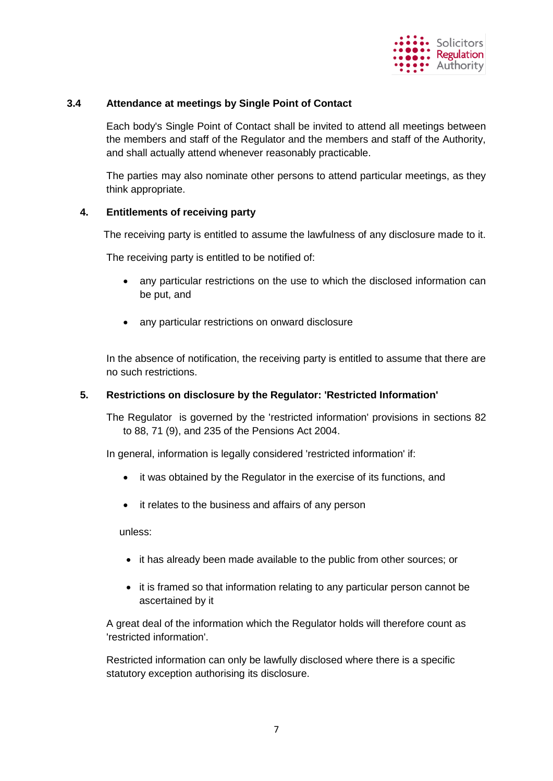

### **3.4 Attendance at meetings by Single Point of Contact**

Each body's Single Point of Contact shall be invited to attend all meetings between the members and staff of the Regulator and the members and staff of the Authority, and shall actually attend whenever reasonably practicable.

The parties may also nominate other persons to attend particular meetings, as they think appropriate.

### **4. Entitlements of receiving party**

The receiving party is entitled to assume the lawfulness of any disclosure made to it.

The receiving party is entitled to be notified of:

- any particular restrictions on the use to which the disclosed information can be put, and
- any particular restrictions on onward disclosure

In the absence of notification, the receiving party is entitled to assume that there are no such restrictions.

### **5. Restrictions on disclosure by the Regulator: 'Restricted Information'**

The Regulator is governed by the 'restricted information' provisions in sections 82 to 88, 71 (9), and 235 of the Pensions Act 2004.

In general, information is legally considered 'restricted information' if:

- it was obtained by the Regulator in the exercise of its functions, and
- it relates to the business and affairs of any person

unless:

- it has already been made available to the public from other sources; or
- it is framed so that information relating to any particular person cannot be ascertained by it

A great deal of the information which the Regulator holds will therefore count as 'restricted information'.

Restricted information can only be lawfully disclosed where there is a specific statutory exception authorising its disclosure.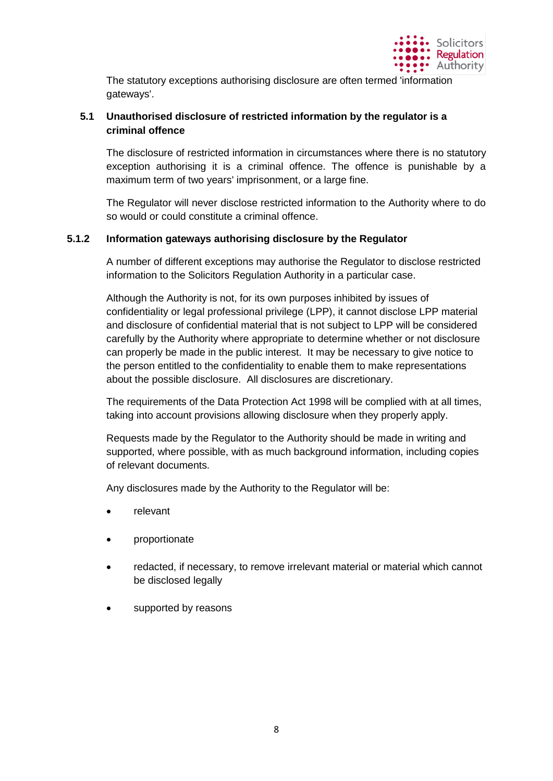

The statutory exceptions authorising disclosure are often termed 'information gateways'.

# **5.1 Unauthorised disclosure of restricted information by the regulator is a criminal offence**

The disclosure of restricted information in circumstances where there is no statutory exception authorising it is a criminal offence. The offence is punishable by a maximum term of two years' imprisonment, or a large fine.

The Regulator will never disclose restricted information to the Authority where to do so would or could constitute a criminal offence.

### **5.1.2 Information gateways authorising disclosure by the Regulator**

A number of different exceptions may authorise the Regulator to disclose restricted information to the Solicitors Regulation Authority in a particular case.

Although the Authority is not, for its own purposes inhibited by issues of confidentiality or legal professional privilege (LPP), it cannot disclose LPP material and disclosure of confidential material that is not subject to LPP will be considered carefully by the Authority where appropriate to determine whether or not disclosure can properly be made in the public interest. It may be necessary to give notice to the person entitled to the confidentiality to enable them to make representations about the possible disclosure. All disclosures are discretionary.

The requirements of the Data Protection Act 1998 will be complied with at all times, taking into account provisions allowing disclosure when they properly apply.

Requests made by the Regulator to the Authority should be made in writing and supported, where possible, with as much background information, including copies of relevant documents.

Any disclosures made by the Authority to the Regulator will be:

- relevant
- proportionate
- redacted, if necessary, to remove irrelevant material or material which cannot be disclosed legally
- supported by reasons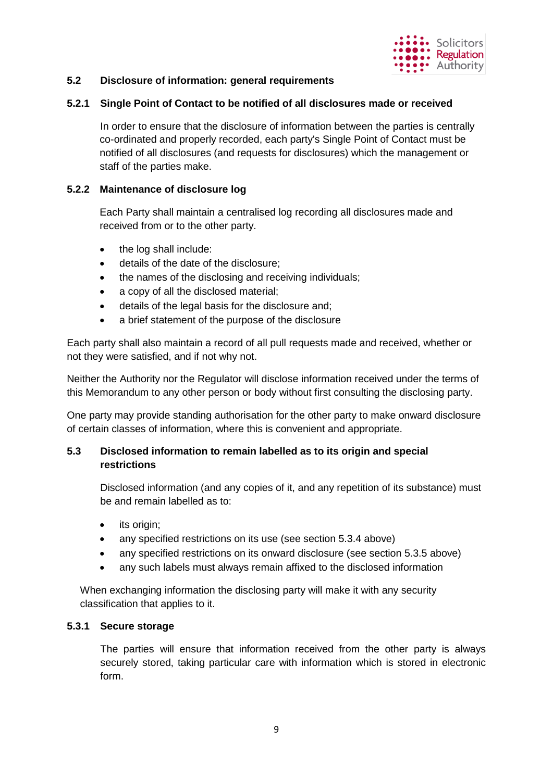

# **5.2 Disclosure of information: general requirements**

### **5.2.1 Single Point of Contact to be notified of all disclosures made or received**

In order to ensure that the disclosure of information between the parties is centrally co-ordinated and properly recorded, each party's Single Point of Contact must be notified of all disclosures (and requests for disclosures) which the management or staff of the parties make.

### **5.2.2 Maintenance of disclosure log**

Each Party shall maintain a centralised log recording all disclosures made and received from or to the other party.

- the log shall include:
- details of the date of the disclosure;
- the names of the disclosing and receiving individuals;
- a copy of all the disclosed material;
- details of the legal basis for the disclosure and;
- a brief statement of the purpose of the disclosure

Each party shall also maintain a record of all pull requests made and received, whether or not they were satisfied, and if not why not.

Neither the Authority nor the Regulator will disclose information received under the terms of this Memorandum to any other person or body without first consulting the disclosing party.

One party may provide standing authorisation for the other party to make onward disclosure of certain classes of information, where this is convenient and appropriate.

# **5.3 Disclosed information to remain labelled as to its origin and special restrictions**

Disclosed information (and any copies of it, and any repetition of its substance) must be and remain labelled as to:

- its origin;
- any specified restrictions on its use (see section 5.3.4 above)
- any specified restrictions on its onward disclosure (see section 5.3.5 above)
- any such labels must always remain affixed to the disclosed information

When exchanging information the disclosing party will make it with any security classification that applies to it.

#### **5.3.1 Secure storage**

The parties will ensure that information received from the other party is always securely stored, taking particular care with information which is stored in electronic form.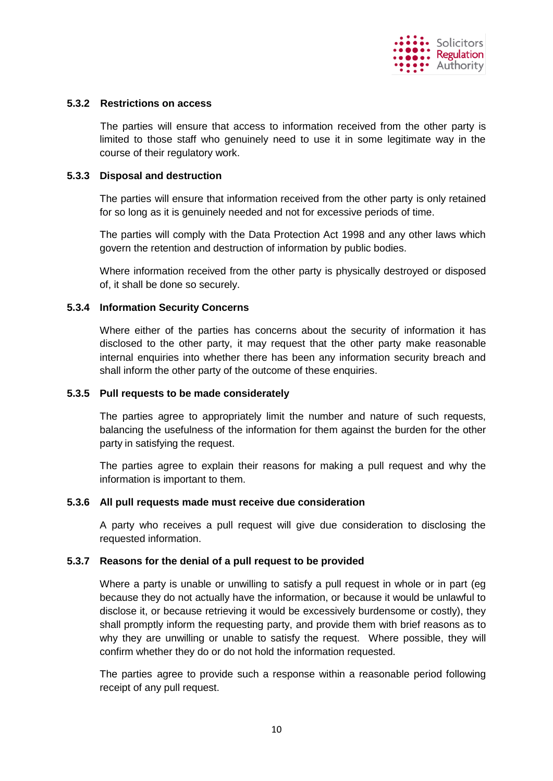

### **5.3.2 Restrictions on access**

The parties will ensure that access to information received from the other party is limited to those staff who genuinely need to use it in some legitimate way in the course of their regulatory work.

### **5.3.3 Disposal and destruction**

The parties will ensure that information received from the other party is only retained for so long as it is genuinely needed and not for excessive periods of time.

The parties will comply with the Data Protection Act 1998 and any other laws which govern the retention and destruction of information by public bodies.

Where information received from the other party is physically destroyed or disposed of, it shall be done so securely.

### **5.3.4 Information Security Concerns**

Where either of the parties has concerns about the security of information it has disclosed to the other party, it may request that the other party make reasonable internal enquiries into whether there has been any information security breach and shall inform the other party of the outcome of these enquiries.

#### **5.3.5 Pull requests to be made considerately**

The parties agree to appropriately limit the number and nature of such requests, balancing the usefulness of the information for them against the burden for the other party in satisfying the request.

The parties agree to explain their reasons for making a pull request and why the information is important to them.

#### **5.3.6 All pull requests made must receive due consideration**

A party who receives a pull request will give due consideration to disclosing the requested information.

#### **5.3.7 Reasons for the denial of a pull request to be provided**

Where a party is unable or unwilling to satisfy a pull request in whole or in part (eg because they do not actually have the information, or because it would be unlawful to disclose it, or because retrieving it would be excessively burdensome or costly), they shall promptly inform the requesting party, and provide them with brief reasons as to why they are unwilling or unable to satisfy the request. Where possible, they will confirm whether they do or do not hold the information requested.

The parties agree to provide such a response within a reasonable period following receipt of any pull request.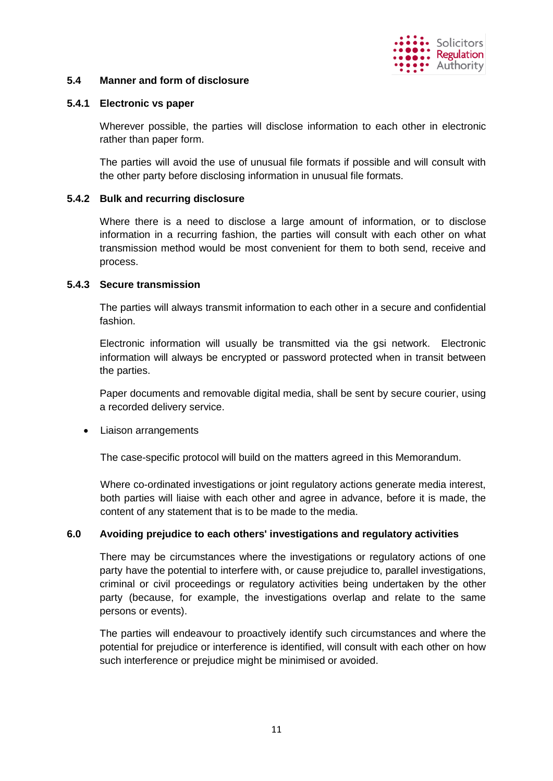

### **5.4 Manner and form of disclosure**

### **5.4.1 Electronic vs paper**

Wherever possible, the parties will disclose information to each other in electronic rather than paper form.

The parties will avoid the use of unusual file formats if possible and will consult with the other party before disclosing information in unusual file formats.

### **5.4.2 Bulk and recurring disclosure**

Where there is a need to disclose a large amount of information, or to disclose information in a recurring fashion, the parties will consult with each other on what transmission method would be most convenient for them to both send, receive and process.

### **5.4.3 Secure transmission**

The parties will always transmit information to each other in a secure and confidential fashion.

Electronic information will usually be transmitted via the gsi network. Electronic information will always be encrypted or password protected when in transit between the parties.

Paper documents and removable digital media, shall be sent by secure courier, using a recorded delivery service.

### Liaison arrangements

The case-specific protocol will build on the matters agreed in this Memorandum.

Where co-ordinated investigations or joint regulatory actions generate media interest, both parties will liaise with each other and agree in advance, before it is made, the content of any statement that is to be made to the media.

### **6.0 Avoiding prejudice to each others' investigations and regulatory activities**

There may be circumstances where the investigations or regulatory actions of one party have the potential to interfere with, or cause prejudice to, parallel investigations, criminal or civil proceedings or regulatory activities being undertaken by the other party (because, for example, the investigations overlap and relate to the same persons or events).

The parties will endeavour to proactively identify such circumstances and where the potential for prejudice or interference is identified, will consult with each other on how such interference or prejudice might be minimised or avoided.